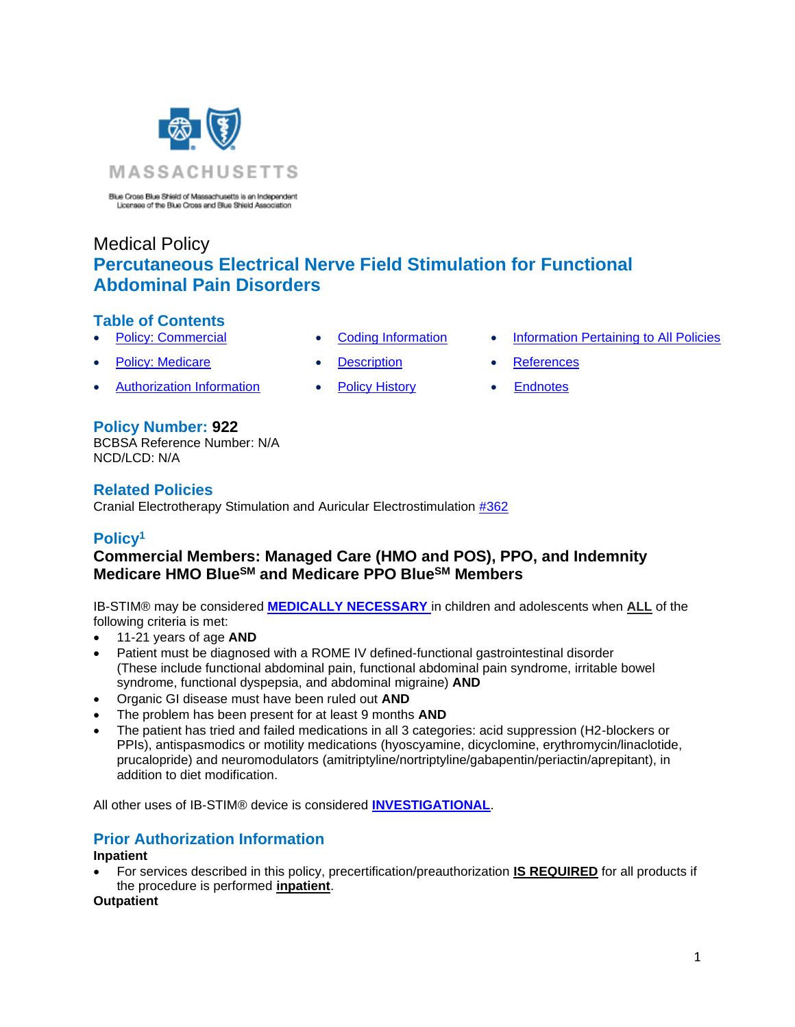

Blue Cross Blue Shield of Massachusetts is an Independent<br>Licenses of the Blue Cross and Blue Shield Association

# Medical Policy **Percutaneous Electrical Nerve Field Stimulation for Functional Abdominal Pain Disorders**

## **Table of Contents**

- 
- **[Policy: Medicare](#page-0-1) [Description](#page-1-1) [References](#page-2-1)**
- Authorization Information [Policy History](#page-2-2) Endnotes
	-
- **Policy Number: 922**

BCBSA Reference Number: N/A NCD/LCD: N/A

## **Related Policies**

Cranial Electrotherapy Stimulation and Auricular Electrostimulation [#362](https://www.bluecrossma.org/medical-policies/sites/g/files/csphws2091/files/acquiadam-assets/362%20Cranial%20Electrotherapy%20Stimulation%20and%20Auricular%20Electrostimulation%20prn.pdf)

# **Policy<sup>1</sup>**

## <span id="page-0-1"></span><span id="page-0-0"></span>**Commercial Members: Managed Care (HMO and POS), PPO, and Indemnity Medicare HMO BlueSM and Medicare PPO BlueSM Members**

IB-STIM® may be considered **MEDICALLY [NECESSARY](https://www.bluecrossma.org/medical-policies/sites/g/files/csphws2091/files/acquiadam-assets/Definition%20of%20Med%20Nec%20Inv%20Not%20Med%20Nec%20prn.pdf#page=1)** in children and adolescents when **ALL** of the following criteria is met:

- 11-21 years of age **AND**
- Patient must be diagnosed with a ROME IV defined-functional gastrointestinal disorder (These include functional abdominal pain, functional abdominal pain syndrome, irritable bowel syndrome, functional dyspepsia, and abdominal migraine) **AND**
- Organic GI disease must have been ruled out **AND**
- The problem has been present for at least 9 months **AND**
- The patient has tried and failed medications in all 3 categories: acid suppression (H2-blockers or PPIs), antispasmodics or motility medications (hyoscyamine, dicyclomine, erythromycin/linaclotide, prucalopride) and neuromodulators (amitriptyline/nortriptyline/gabapentin/periactin/aprepitant), in addition to diet modification.

All other uses of IB-STIM® device is considered **[INVESTIGATIONAL](https://www.bluecrossma.org/medical-policies/sites/g/files/csphws2091/files/acquiadam-assets/Definition%20of%20Med%20Nec%20Inv%20Not%20Med%20Nec%20prn.pdf#page=1)**.

# **Prior Authorization Information**

#### **Inpatient**

• For services described in this policy, precertification/preauthorization **IS REQUIRED** for all products if the procedure is performed **inpatient**.

#### **Outpatient**

- **[Policy: Commercial](#page-0-0) [Coding Information](#page-1-0) [Information Pertaining to All Policies](#page-2-0)** 
	-
	-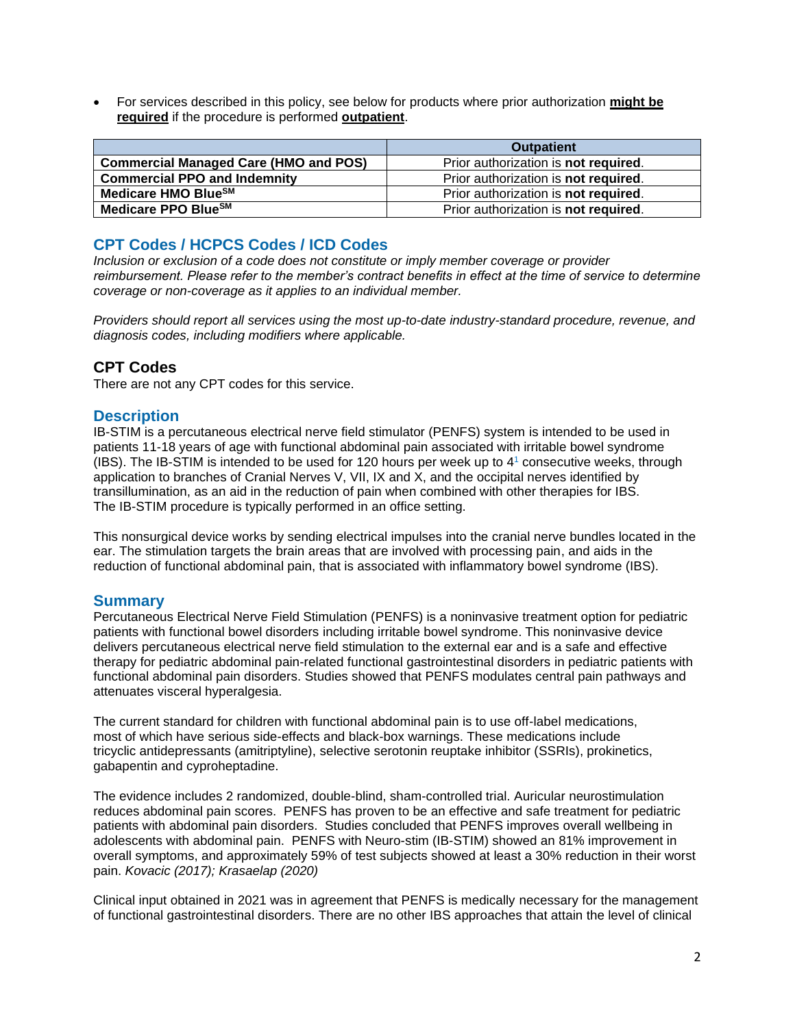• For services described in this policy, see below for products where prior authorization **might be required** if the procedure is performed **outpatient**.

|                                              | <b>Outpatient</b>                            |
|----------------------------------------------|----------------------------------------------|
| <b>Commercial Managed Care (HMO and POS)</b> | Prior authorization is <b>not required</b> . |
| <b>Commercial PPO and Indemnity</b>          | Prior authorization is <b>not required</b> . |
| Medicare HMO BlueSM                          | Prior authorization is not required.         |
| Medicare PPO Blue <sup>SM</sup>              | Prior authorization is <b>not required</b> . |

### <span id="page-1-0"></span>**CPT Codes / HCPCS Codes / ICD Codes**

*Inclusion or exclusion of a code does not constitute or imply member coverage or provider reimbursement. Please refer to the member's contract benefits in effect at the time of service to determine coverage or non-coverage as it applies to an individual member.*

*Providers should report all services using the most up-to-date industry-standard procedure, revenue, and diagnosis codes, including modifiers where applicable.*

### **CPT Codes**

<span id="page-1-1"></span>There are not any CPT codes for this service.

#### **Description**

IB-STIM is a percutaneous electrical nerve field stimulator (PENFS) system is intended to be used in patients 11-18 years of age with functional abdominal pain associated with irritable bowel syndrome (IBS). The IB-STIM is intended to be used for 120 hours per week up to 4 <sup>1</sup> consecutive weeks, through application to branches of Cranial Nerves V, VII, IX and X, and the occipital nerves identified by transillumination, as an aid in the reduction of pain when combined with other therapies for IBS. The IB-STIM procedure is typically performed in an office setting.

This nonsurgical device works by sending electrical impulses into the cranial nerve bundles located in the ear. The stimulation targets the brain areas that are involved with processing pain, and aids in the reduction of functional abdominal pain, that is associated with inflammatory bowel syndrome (IBS).

#### **Summary**

Percutaneous Electrical Nerve Field Stimulation (PENFS) is a noninvasive treatment option for pediatric patients with functional bowel disorders including irritable bowel syndrome. This noninvasive device delivers percutaneous electrical nerve field stimulation to the external ear and is a safe and effective therapy for pediatric abdominal pain-related functional gastrointestinal disorders in pediatric patients with functional abdominal pain disorders. Studies showed that PENFS modulates central pain pathways and attenuates visceral hyperalgesia.

The current standard for children with functional abdominal pain is to use off-label medications, most of which have serious side-effects and black-box warnings. These medications include tricyclic antidepressants (amitriptyline), selective serotonin reuptake inhibitor (SSRIs), prokinetics, gabapentin and cyproheptadine.

The evidence includes 2 randomized, double-blind, sham-controlled trial. Auricular neurostimulation reduces abdominal pain scores. PENFS has proven to be an effective and safe treatment for pediatric patients with abdominal pain disorders. Studies concluded that PENFS improves overall wellbeing in adolescents with abdominal pain. PENFS with Neuro-stim (IB-STIM) showed an 81% improvement in overall symptoms, and approximately 59% of test subjects showed at least a 30% reduction in their worst pain. *Kovacic (2017); Krasaelap (2020)*

Clinical input obtained in 2021 was in agreement that PENFS is medically necessary for the management of functional gastrointestinal disorders. There are no other IBS approaches that attain the level of clinical